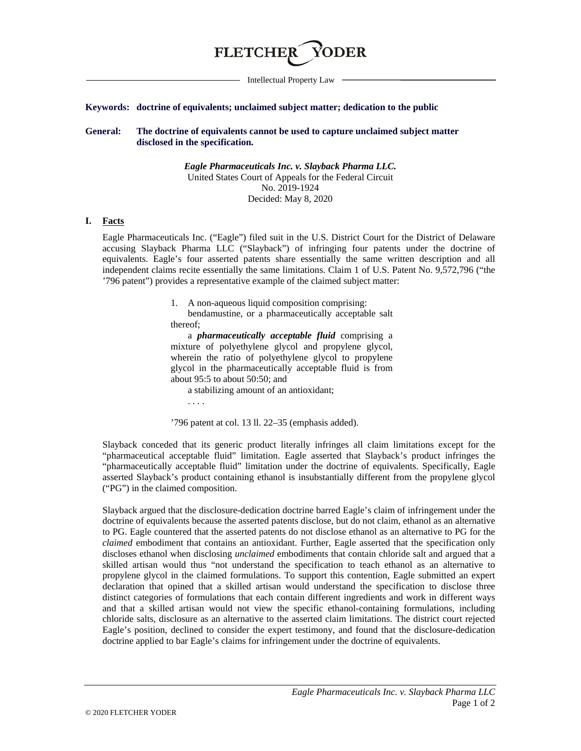

Intellectual Property Law

#### **Keywords: doctrine of equivalents; unclaimed subject matter; dedication to the public**

**General: The doctrine of equivalents cannot be used to capture unclaimed subject matter disclosed in the specification.**

> *Eagle Pharmaceuticals Inc. v. Slayback Pharma LLC.* United States Court of Appeals for the Federal Circuit No. 2019-1924 Decided: May 8, 2020

### **I. Facts**

Eagle Pharmaceuticals Inc. ("Eagle") filed suit in the U.S. District Court for the District of Delaware accusing Slayback Pharma LLC ("Slayback") of infringing four patents under the doctrine of equivalents. Eagle's four asserted patents share essentially the same written description and all independent claims recite essentially the same limitations. Claim 1 of U.S. Patent No. 9,572,796 ("the '796 patent") provides a representative example of the claimed subject matter:

1. A non-aqueous liquid composition comprising:

bendamustine, or a pharmaceutically acceptable salt thereof;

a *pharmaceutically acceptable fluid* comprising a mixture of polyethylene glycol and propylene glycol, wherein the ratio of polyethylene glycol to propylene glycol in the pharmaceutically acceptable fluid is from about 95:5 to about 50:50; and

a stabilizing amount of an antioxidant;

. . . .

'796 patent at col. 13 ll. 22–35 (emphasis added).

Slayback conceded that its generic product literally infringes all claim limitations except for the "pharmaceutical acceptable fluid" limitation. Eagle asserted that Slayback's product infringes the "pharmaceutically acceptable fluid" limitation under the doctrine of equivalents. Specifically, Eagle asserted Slayback's product containing ethanol is insubstantially different from the propylene glycol ("PG") in the claimed composition.

Slayback argued that the disclosure-dedication doctrine barred Eagle's claim of infringement under the doctrine of equivalents because the asserted patents disclose, but do not claim, ethanol as an alternative to PG. Eagle countered that the asserted patents do not disclose ethanol as an alternative to PG for the *claimed* embodiment that contains an antioxidant. Further, Eagle asserted that the specification only discloses ethanol when disclosing *unclaimed* embodiments that contain chloride salt and argued that a skilled artisan would thus "not understand the specification to teach ethanol as an alternative to propylene glycol in the claimed formulations. To support this contention, Eagle submitted an expert declaration that opined that a skilled artisan would understand the specification to disclose three distinct categories of formulations that each contain different ingredients and work in different ways and that a skilled artisan would not view the specific ethanol-containing formulations, including chloride salts, disclosure as an alternative to the asserted claim limitations. The district court rejected Eagle's position, declined to consider the expert testimony, and found that the disclosure-dedication doctrine applied to bar Eagle's claims for infringement under the doctrine of equivalents.